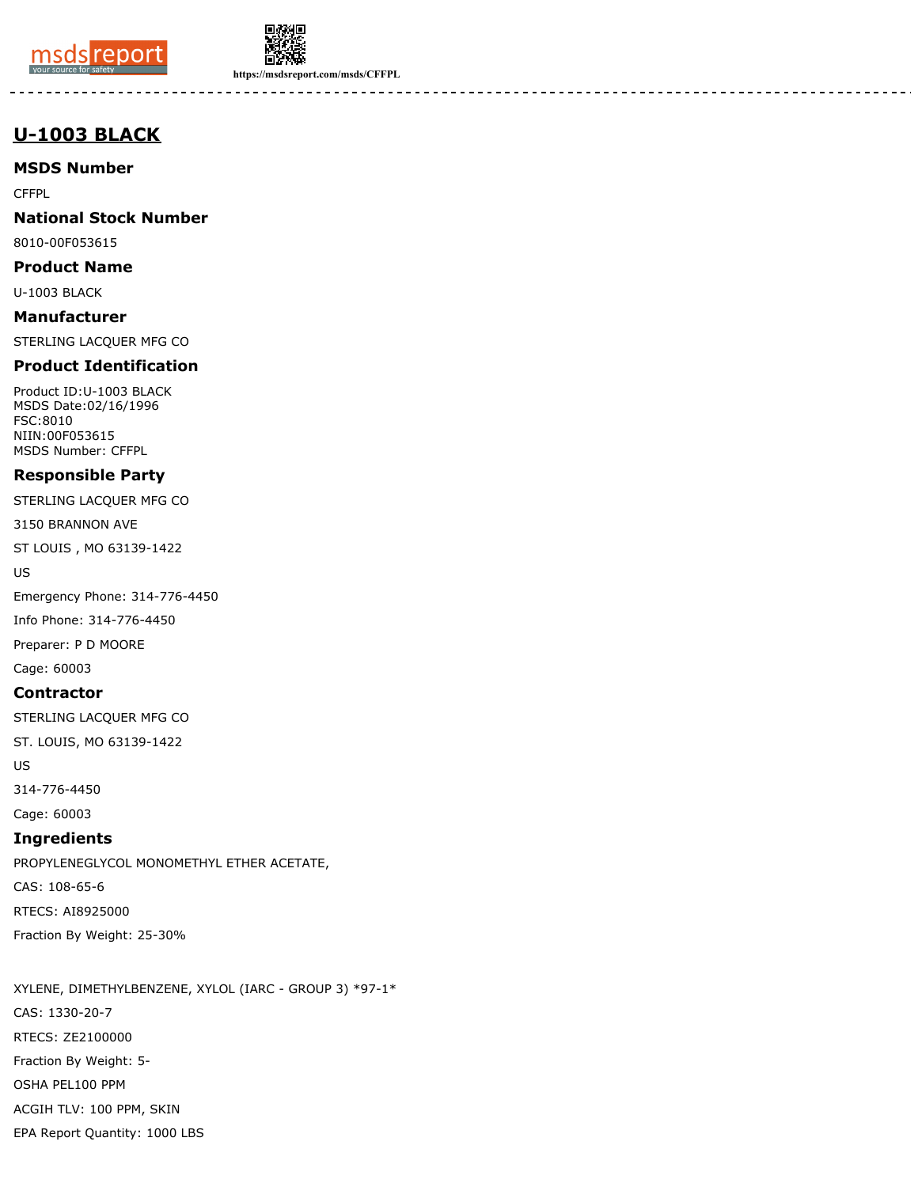



**https://msdsreport.com/msds/CFFPL**

# **U-1003 BLACK**

**MSDS Number**

**CFFPL** 

**National Stock Number**

8010-00F053615

**Product Name**

U-1003 BLACK

**Manufacturer** STERLING LACQUER MFG CO

## **Product Identification**

Product ID:U-1003 BLACK MSDS Date:02/16/1996 FSC:8010 NIIN:00F053615 MSDS Number: CFFPL

## **Responsible Party**

STERLING LACQUER MFG CO

3150 BRANNON AVE

ST LOUIS , MO 63139-1422

US

Emergency Phone: 314-776-4450

Info Phone: 314-776-4450

Preparer: P D MOORE

Cage: 60003

## **Contractor**

STERLING LACQUER MFG CO

ST. LOUIS, MO 63139-1422

US

314-776-4450

Cage: 60003

## **Ingredients**

PROPYLENEGLYCOL MONOMETHYL ETHER ACETATE, CAS: 108-65-6 RTECS: AI8925000 Fraction By Weight: 25-30%

XYLENE, DIMETHYLBENZENE, XYLOL (IARC - GROUP 3) \*97-1\* CAS: 1330-20-7 RTECS: ZE2100000 Fraction By Weight: 5- OSHA PEL100 PPM ACGIH TLV: 100 PPM, SKIN EPA Report Quantity: 1000 LBS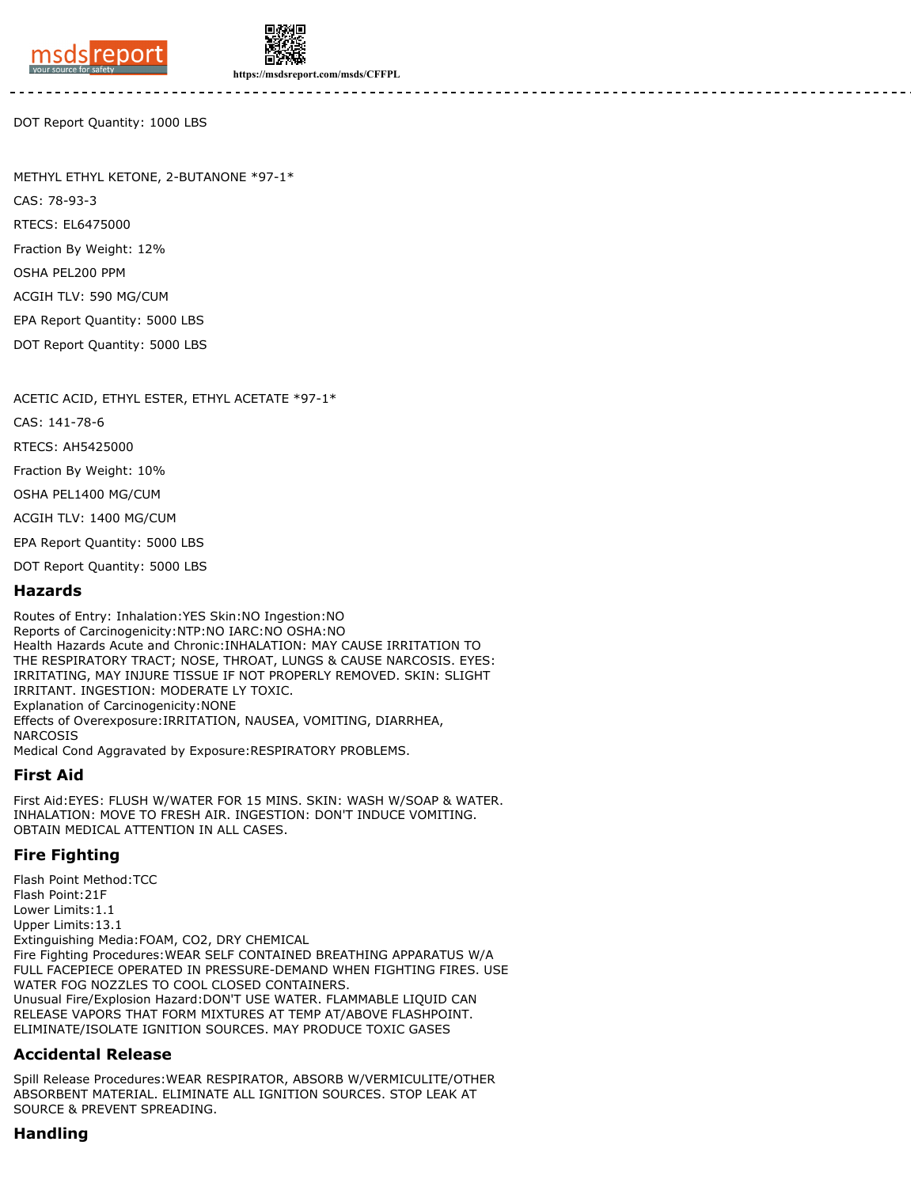



**https://msdsreport.com/msds/CFFPL**

DOT Report Quantity: 1000 LBS

METHYL ETHYL KETONE, 2-BUTANONE \*97-1\*

CAS: 78-93-3 RTECS: EL6475000 Fraction By Weight: 12% OSHA PEL200 PPM

ACGIH TLV: 590 MG/CUM

EPA Report Quantity: 5000 LBS

DOT Report Quantity: 5000 LBS

ACETIC ACID, ETHYL ESTER, ETHYL ACETATE \*97-1\*

CAS: 141-78-6

RTECS: AH5425000

Fraction By Weight: 10%

OSHA PEL1400 MG/CUM

ACGIH TLV: 1400 MG/CUM

EPA Report Quantity: 5000 LBS

DOT Report Quantity: 5000 LBS

#### **Hazards**

Routes of Entry: Inhalation:YES Skin:NO Ingestion:NO Reports of Carcinogenicity:NTP:NO IARC:NO OSHA:NO Health Hazards Acute and Chronic:INHALATION: MAY CAUSE IRRITATION TO THE RESPIRATORY TRACT; NOSE, THROAT, LUNGS & CAUSE NARCOSIS. EYES: IRRITATING, MAY INJURE TISSUE IF NOT PROPERLY REMOVED. SKIN: SLIGHT IRRITANT. INGESTION: MODERATE LY TOXIC. Explanation of Carcinogenicity:NONE Effects of Overexposure:IRRITATION, NAUSEA, VOMITING, DIARRHEA, NARCOSIS Medical Cond Aggravated by Exposure:RESPIRATORY PROBLEMS.

### **First Aid**

First Aid:EYES: FLUSH W/WATER FOR 15 MINS. SKIN: WASH W/SOAP & WATER. INHALATION: MOVE TO FRESH AIR. INGESTION: DON'T INDUCE VOMITING. OBTAIN MEDICAL ATTENTION IN ALL CASES.

### **Fire Fighting**

Flash Point Method:TCC Flash Point:21F Lower Limits:1.1 Upper Limits:13.1 Extinguishing Media:FOAM, CO2, DRY CHEMICAL Fire Fighting Procedures:WEAR SELF CONTAINED BREATHING APPARATUS W/A FULL FACEPIECE OPERATED IN PRESSURE-DEMAND WHEN FIGHTING FIRES. USE WATER FOG NOZZLES TO COOL CLOSED CONTAINERS. Unusual Fire/Explosion Hazard:DON'T USE WATER. FLAMMABLE LIQUID CAN RELEASE VAPORS THAT FORM MIXTURES AT TEMP AT/ABOVE FLASHPOINT. ELIMINATE/ISOLATE IGNITION SOURCES. MAY PRODUCE TOXIC GASES

### **Accidental Release**

Spill Release Procedures:WEAR RESPIRATOR, ABSORB W/VERMICULITE/OTHER ABSORBENT MATERIAL. ELIMINATE ALL IGNITION SOURCES. STOP LEAK AT SOURCE & PREVENT SPREADING.

### **Handling**